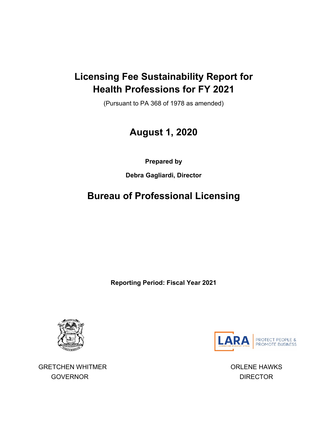### **Licensing Fee Sustainability Report for Health Professions for FY 2021**

(Pursuant to PA 368 of 1978 as amended)

# **August 1, 2020**

**Prepared by**

**Debra Gagliardi, Director**

# **Bureau of Professional Licensing**

**Reporting Period: Fiscal Year 2021**



GRETCHEN WHITMER **GRETCHEN WHITMER ORLENE HAWKS** GOVERNOR DIRECTOR

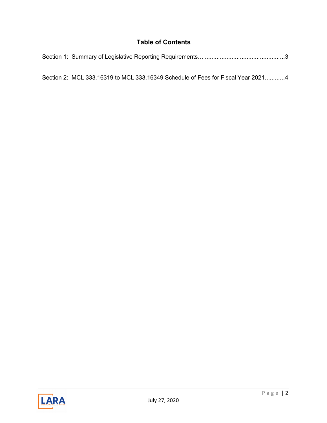#### **Table of Contents**

| Section 2: MCL 333.16319 to MCL 333.16349 Schedule of Fees for Fiscal Year 20214 |
|----------------------------------------------------------------------------------|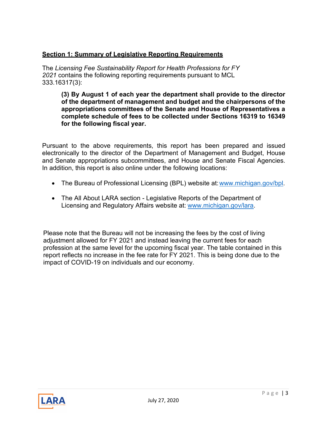#### **Section 1: Summary of Legislative Reporting Requirements**

The *Licensing Fee Sustainability Report for Health Professions for FY 2021* contains the following reporting requirements pursuant to MCL 333.16317(3):

**(3) By August 1 of each year the department shall provide to the director of the department of management and budget and the chairpersons of the appropriations committees of the Senate and House of Representatives a complete schedule of fees to be collected under Sections 16319 to 16349 for the following fiscal year.**

Pursuant to the above requirements, this report has been prepared and issued electronically to the director of the Department of Management and Budget, House and Senate appropriations subcommittees, and House and Senate Fiscal Agencies. In addition, this report is also online under the following locations:

- The Bureau of Professional Licensing (BPL) website at: www.michigan.gov/bpl.
- The All About LARA section Legislative Reports of the Department of Licensing and Regulatory Affairs website at: [www.michigan.gov/lara.](http://www.michigan.gov/lara)

Please note that the Bureau will not be increasing the fees by the cost of living adjustment allowed for FY 2021 and instead leaving the current fees for each profession at the same level for the upcoming fiscal year. The table contained in this report reflects no increase in the fee rate for FY 2021. This is being done due to the impact of COVID-19 on individuals and our economy.

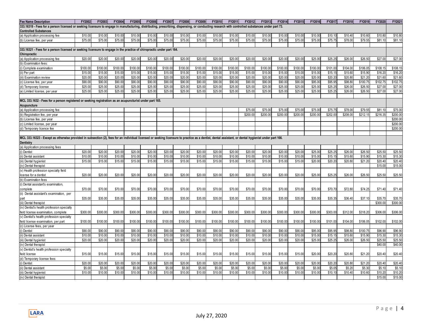| <b>Fee Name Description</b>                                                                                                                                                                          | FY2002   | FY2003   | FY2004   | FY2005   | FY2006   | FY2007   | FY2008   | FY2009   | FY2010   | FY2011   | FY2012   | FY2013   | FY2014   | FY2015   | FY2016   | FY2017   | FY2018   | FY2019   | FY202    | FY202    |
|------------------------------------------------------------------------------------------------------------------------------------------------------------------------------------------------------|----------|----------|----------|----------|----------|----------|----------|----------|----------|----------|----------|----------|----------|----------|----------|----------|----------|----------|----------|----------|
| 333.16319 - Fees for a person licensed or seeking licensure to engage in manufacturing, distributing, prescribing, dispensing, or conducting research with controlled substances under part 73.      |          |          |          |          |          |          |          |          |          |          |          |          |          |          |          |          |          |          |          |          |
| <b>Controlled Substances</b>                                                                                                                                                                         |          |          |          |          |          |          |          |          |          |          |          |          |          |          |          |          |          |          |          |          |
| (a) Application processing fee                                                                                                                                                                       | \$10.00  | \$10.00  | \$10.00  | \$10.00  | \$10.00  | \$10.00  | \$10.00  | \$10.00  | \$10.00  | \$10.00  | \$10.00  | \$10.0   | \$10.00  | \$10.0   | \$10.00  | \$10.10  | \$10.40  | \$10.60  | \$10.80  | \$10.80  |
| (b) License fee, per year                                                                                                                                                                            | \$75.00  | \$75.00  | \$75.00  | \$75.00  | \$75.00  | \$75.00  | \$75.00  | \$75.00  | \$75.00  | \$75.00  | \$75.00  | \$75.00  | \$75.00  | \$75.00  | \$75.00  | \$75.75  | \$78.00  | \$79.55  | \$81.10  | \$81.10  |
|                                                                                                                                                                                                      |          |          |          |          |          |          |          |          |          |          |          |          |          |          |          |          |          |          |          |          |
| 333.16321 - Fees for a person licensed or seeking licensure to engage in the practice of chiropractic under part 164.                                                                                |          |          |          |          |          |          |          |          |          |          |          |          |          |          |          |          |          |          |          |          |
| Chiropractic                                                                                                                                                                                         |          |          |          |          |          |          |          |          |          |          |          |          |          |          |          |          |          |          |          |          |
| (a) Application processing fee                                                                                                                                                                       | \$20.00  | \$20.00  | \$20.00  | \$20.00  | \$20.00  | \$20.00  | \$20.00  | \$20.00  | \$20.00  | \$20.00  | \$20.00  | \$20.00  | \$20.00  | \$20.0   | \$25.00  | \$25.25  | \$26.00  | \$26.50  | \$27.0   | \$27.00  |
| (b) Examination fees:                                                                                                                                                                                |          |          |          |          |          |          |          |          |          |          |          |          |          |          |          |          |          |          |          |          |
| i) Complete examination                                                                                                                                                                              | \$100.0  | \$100.00 | \$100.00 | \$100.00 | \$100.00 | \$100.00 | \$100.0  | \$100.00 | \$100.00 | \$100.00 | \$100.00 | \$100.0  | \$100.00 | \$100.0  | \$100.0  | \$101.00 | \$104.00 | \$106.05 | \$108.1  | \$108.15 |
| (ii) Per part                                                                                                                                                                                        | \$15.0   | \$15.00  | \$15.00  | \$15.00  | \$15.00  | \$15.00  | \$15.00  | \$15.0   | \$15.00  | \$15.00  | \$15.00  | \$15.0   | \$15.0   | \$15.0   | \$15.0   | \$15.15  | \$15.60  | \$15.90  | \$16.2   | \$16.20  |
| ii) Examination review                                                                                                                                                                               | \$20.0   | \$20.00  | \$20.00  | \$20.00  | \$20.00  | \$20.00  | \$20.00  | \$20.00  | \$20.00  | \$20.00  | \$20.00  | \$20.00  | \$20.00  | \$20.0   | \$20.00  | \$20.20  | \$20.80  | \$21.20  | \$21.60  | \$21.60  |
| (c) License fee, per vear                                                                                                                                                                            | \$90.0   | \$90.00  | \$90.00  | \$90.00  | \$90.00  | \$90.00  | \$90.00  | \$90.00  | \$90.00  | \$90.00  | \$90.00  | \$90.00  | \$90.00  | \$90.0   | \$95.00  | \$95.95  | \$98.80  | \$100.75 | \$102.75 | \$102.75 |
| (d) Temporary license                                                                                                                                                                                | \$25.0   | \$25.00  | \$25.00  | \$25.00  | \$25.00  | \$25.00  | \$25.00  | \$25.00  | \$25.00  | \$25.00  | \$25.00  | \$25.00  | \$25.00  | \$25.00  | \$25.00  | \$25.25  | \$26.00  | \$26.50  | \$27.0   | \$27.00  |
| (e) Limited license, per year                                                                                                                                                                        | \$25.0   | \$25.00  | \$25.00  | \$25.00  | \$25.00  | \$25.00  | \$25.00  | \$25.00  | \$25.00  | \$25.00  | \$25.00  | \$25.00  | \$25.00  | \$25.00  | \$25.00  | \$25.25  | \$26.00  | \$26.50  | \$27.00  | \$27.00  |
|                                                                                                                                                                                                      |          |          |          |          |          |          |          |          |          |          |          |          |          |          |          |          |          |          |          |          |
| MCL 333.1632 - Fees for a person registered or seeking registration as an acupuncturist under part 165.                                                                                              |          |          |          |          |          |          |          |          |          |          |          |          |          |          |          |          |          |          |          |          |
| Acupuncture                                                                                                                                                                                          |          |          |          |          |          |          |          |          |          |          |          |          |          |          |          |          |          |          |          |          |
| (a) Application processing fee                                                                                                                                                                       |          |          |          |          |          |          |          |          |          |          | \$75.00  | \$75.0   | \$75.00  | \$75.00  | \$75.0   | \$75.75  | \$78.00  | \$79.5   | \$81.1   | \$75.00  |
| (b) Registration fee, per year                                                                                                                                                                       |          |          |          |          |          |          |          |          |          |          | \$200.00 | \$200.0  | \$200.00 | \$200.0  | \$200.00 | \$202.00 | \$208.00 | \$212.15 | \$216.35 | \$200.00 |
| (b) License fee, per year                                                                                                                                                                            |          |          |          |          |          |          |          |          |          |          |          |          |          |          |          |          |          |          |          | \$200.00 |
| (c) Limited license, per year                                                                                                                                                                        |          |          |          |          |          |          |          |          |          |          |          |          |          |          |          |          |          |          |          | \$200.00 |
| (d) Temporary licence fee                                                                                                                                                                            |          |          |          |          |          |          |          |          |          |          |          |          |          |          |          |          |          |          |          | \$200.00 |
|                                                                                                                                                                                                      |          |          |          |          |          |          |          |          |          |          |          |          |          |          |          |          |          |          |          |          |
| MCL 333.16323 - Except as otherwise provided in subsection (2), fees for an individual licensed or seeking licensure to practice as a dentist, dental assistant, or dental hygienist under part 166. |          |          |          |          |          |          |          |          |          |          |          |          |          |          |          |          |          |          |          |          |
| Dentistry                                                                                                                                                                                            |          |          |          |          |          |          |          |          |          |          |          |          |          |          |          |          |          |          |          |          |
| (a) Application processing fees                                                                                                                                                                      |          |          |          |          |          |          |          |          |          |          |          |          |          |          |          |          |          |          |          |          |
| i) Dentist                                                                                                                                                                                           | \$20.00  | \$20.00  | \$20.00  | \$20.00  | \$20.00  | \$20.00  | \$20.00  | \$20.00  | \$20.00  | \$20.00  | \$20.00  | \$20.00  | \$20.00  | \$20.0   | \$25.00  | \$25.25  | \$26.00  | \$26.50  | \$25.50  | \$25.50  |
| ii) Dental assistant                                                                                                                                                                                 | \$10.00  | \$10.00  | \$10.00  | \$10.00  | \$10.00  | \$10.00  | \$10.00  | \$10.00  | \$10.00  | \$10.00  | \$10.00  | \$10.00  | \$10.00  | \$10.00  | \$15.00  | \$15.15  | \$15.60  | \$15.90  | \$15.30  | \$15.30  |
| ii) Dental hygienist                                                                                                                                                                                 | \$15.0   | \$15.00  | \$15.00  | \$15.00  | \$15.00  | \$15.00  | \$15.00  | \$15.00  | \$15.00  | \$15.00  | \$15.00  | \$15.00  | \$15.00  | \$15.00  | \$20.00  | \$20.20  | \$20.80  | \$21.20  | \$20.4   | \$20.40  |
| (iv) Dental therapist                                                                                                                                                                                |          |          |          |          |          |          |          |          |          |          |          |          |          |          |          |          |          |          | \$15.00  | \$15.00  |
| (v) Health profession specialty field                                                                                                                                                                |          |          |          |          |          |          |          |          |          |          |          |          |          |          |          |          |          |          |          |          |
| license for a dentist                                                                                                                                                                                | \$20.00  | \$20.00  | \$20.00  | \$20.00  | \$20.00  | \$20.00  | \$20.00  | \$20.00  | \$20.00  | \$20.00  | \$20.00  | \$20.00  | \$20.00  | \$20.00  | \$25.00  | \$25.25  | \$26.00  | \$26.50  | \$25.50  | \$25.50  |
| (b) Examination fees                                                                                                                                                                                 |          |          |          |          |          |          |          |          |          |          |          |          |          |          |          |          |          |          |          |          |
| (i) Dental assistant's examination,                                                                                                                                                                  |          |          |          |          |          |          |          |          |          |          |          |          |          |          |          |          |          |          |          |          |
| complete                                                                                                                                                                                             | \$70.00  | \$70.00  | \$70.00  | \$70.00  | \$70.00  | \$70.00  | \$70.00  | \$70.00  | \$70.00  | \$70.00  | \$70.00  | \$70.00  | \$70.00  | \$70.0   | \$70.00  | \$70.70  | \$72.80  | \$74.25  | \$71.40  | \$71.40  |
| (ii) Dental assistant's examination, per                                                                                                                                                             |          |          |          |          |          |          |          |          |          |          |          |          |          |          |          |          |          |          |          |          |
| part                                                                                                                                                                                                 | \$35.00  | \$35.00  | \$35.00  | \$35.00  | \$35.00  | \$35.00  | \$35.00  | \$35.00  | \$35.00  | \$35.00  | \$35.00  | \$35.00  | \$35.00  | \$35.00  | \$35.00  | \$35.35  | \$36.40  | \$37.10  | \$35.70  | \$35.70  |
| (iii) Dental therapist                                                                                                                                                                               |          |          |          |          |          |          |          |          |          |          |          |          |          |          |          |          |          |          | \$300.0  | \$300.00 |
| (iv) Dentist's health profession specialty                                                                                                                                                           |          |          |          |          |          |          |          |          |          |          |          |          |          |          |          |          |          |          |          |          |
| field license examination, complete                                                                                                                                                                  | \$300.00 | \$300.00 | \$300.00 | \$300.00 | \$300.00 | \$300.00 | \$300.00 | \$300.00 | \$300.00 | \$300.00 | \$300.00 | \$300.0  | \$300.00 | \$300.0  | \$300.00 | \$303.00 | \$312.00 | \$318.20 | \$306.00 | \$306.00 |
| (v) Dentist's health profession specialty                                                                                                                                                            |          |          |          |          |          |          |          |          |          |          |          |          |          |          |          |          |          |          |          |          |
| field license examination, per part                                                                                                                                                                  | \$100.00 | \$100.00 | \$100.00 | \$100.00 | \$100.00 | \$100.00 | \$100.00 | \$100.00 | \$100.00 | \$100.00 | \$100.00 | \$100.00 | \$100.00 | \$100.00 | \$100.00 | \$101.00 | \$104.00 | \$106.05 | \$102.00 | \$102.00 |
| (c) License fees, per year                                                                                                                                                                           |          |          |          |          |          |          |          |          |          |          |          |          |          |          |          |          |          |          |          |          |
| ) Dentist                                                                                                                                                                                            | \$90.0   | \$90.00  | \$90.00  | \$90.00  | \$90.00  | \$90.00  | \$90.00  | \$90.00  | \$90.00  | \$90.00  | \$90.00  | \$90.0   | \$90.00  | \$90.0   | \$95.00  | \$95.95  | \$98.80  | \$100.75 | \$96.9   | \$96.90  |
| i) Dental assistant                                                                                                                                                                                  | \$10.00  | \$10.00  | \$10.00  | \$10.00  | \$10.00  | \$10.00  | \$10.00  | \$10.00  | \$10.00  | \$10.00  | \$10.00  | \$10.00  | \$10.00  | \$10.00  | \$15.00  | \$15.15  | \$15.60  | \$15.90  | \$15.30  | \$15.30  |
| (iii) Dental hygienist                                                                                                                                                                               | \$20.0   | \$20.00  | \$20.00  | \$20.00  | \$20.00  | \$20.00  | \$20.00  | \$20.00  | \$20.00  | \$20.00  | \$20.00  | \$20.00  | \$20.00  | \$20.00  | \$25.00  | \$25.25  | \$26.00  | \$26.50  | \$25.50  | \$25.50  |
| (iv) Dental therapist                                                                                                                                                                                |          |          |          |          |          |          |          |          |          |          |          |          |          |          |          |          |          |          | \$40.00  | \$40.00  |
| v) Dentist's health profession specialty                                                                                                                                                             |          |          |          |          |          |          |          |          |          |          |          |          |          |          |          |          |          |          |          |          |
| field license                                                                                                                                                                                        | \$15.00  | \$15.00  | \$15.00  | \$15.00  | \$15.00  | \$15.00  | \$15.00  | \$15.00  | \$15.00  | \$15.00  | \$15.00  | \$15.00  | \$15.00  | \$15.0   | \$20.00  | \$20.20  | \$20.80  | \$21.20  | \$20.40  | \$20.40  |
| (d) Temporary license fees                                                                                                                                                                           |          |          |          |          |          |          |          |          |          |          |          |          |          |          |          |          |          |          |          |          |
| i) Dentist                                                                                                                                                                                           | \$20.0   | \$20.00  | \$20.00  | \$20.00  | \$20.00  | \$20.00  | \$20.00  | \$20.00  | \$20.00  | \$20.00  | \$20.00  | \$20.00  | \$20.00  | \$20.0   | \$20.00  | \$20.20  | \$20.80  | \$21.20  | \$20.4   | \$20.40  |
| ii) Dental assistant                                                                                                                                                                                 | \$5.0    | \$5.00   | \$5.00   | \$5.00   | \$5.00   | \$5.00   | \$5.00   | \$5.00   | \$5.00   | \$5.00   | \$5.00   | \$5.0    | \$5.00   | \$5.0    | \$5.00   | \$5.05   | \$5.2    | \$5.30   | \$5.1    | \$5.1    |
| ii) Dental hygienist                                                                                                                                                                                 | \$10.00  | \$10.00  | \$10.00  | \$10.00  | \$10.00  | \$10.00  | \$10.00  | \$10.00  | \$10.00  | \$10.00  | \$10.00  | \$10.00  | \$10.00  | \$10.00  | \$10.00  | \$10.10  | \$10.40  | \$10.60  | \$10.20  | \$10.20  |
| (iv) Dental therapist                                                                                                                                                                                |          |          |          |          |          |          |          |          |          |          |          |          |          |          |          |          |          |          | \$15.00  | \$15.00  |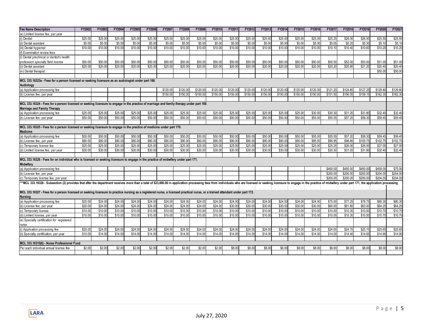| <b>Fee Name Description</b>                                                                                                                                                                                                    | FY2002  | FY2003  | FY2004  | FY2005  | FY2006  | FY2007   | FY2008   | FY2009   | FY2010   | FY2011   | FY2012   | FY2013   | FY2014   | FY2015   | FY2016   | FY2017   | FY2018   | FY2019               | FY2020   | FY2021   |
|--------------------------------------------------------------------------------------------------------------------------------------------------------------------------------------------------------------------------------|---------|---------|---------|---------|---------|----------|----------|----------|----------|----------|----------|----------|----------|----------|----------|----------|----------|----------------------|----------|----------|
| (e) Limited license fee, per year                                                                                                                                                                                              |         |         |         |         |         |          |          |          |          |          |          |          |          |          |          |          |          |                      |          |          |
| (i) Dentist                                                                                                                                                                                                                    | \$25.00 | \$25.00 | \$25.00 | \$25.00 | \$25.00 | \$25.00  | \$25.00  | \$25.00  | \$25.00  | \$25.00  | \$25.00  | \$25.00  | \$25.00  | \$25.00  | \$25.00  | \$25.25  | \$26.00  | \$26.50              | \$25.50  | \$25.50  |
| (ii) Dental assistant                                                                                                                                                                                                          | \$5.00  | \$5.00  | \$5.00  | \$5.00  | \$5.00  | \$5.00   | \$5.00   | \$5.00   | \$5.00   | \$5.00   | \$5.00   | \$5.00   | \$5.00   | \$5.00   | \$5.00   | \$5.05   | \$5.20   | \$5.30               | \$5.10   | \$5.10   |
| (iii) Dental hygienist                                                                                                                                                                                                         | \$10.00 | \$10.00 | \$10.00 | \$10.00 | \$10.00 | \$10.00  | \$10.00  | \$10.00  | \$10.00  | \$10.00  | \$10.00  | \$10.00  | \$10.00  | \$10.00  | \$10.00  | \$10.10  | \$10.40  | \$10.60              | \$10.20  | \$10.20  |
| f) Examination review fees                                                                                                                                                                                                     |         |         |         |         |         |          |          |          |          |          |          |          |          |          |          |          |          |                      |          |          |
| (i) Dental preclinical or dentist's health                                                                                                                                                                                     |         |         |         |         |         |          |          |          |          |          |          |          |          |          |          |          |          |                      |          |          |
| profession specialty field license                                                                                                                                                                                             | \$50.00 | \$50.00 | \$50.00 | \$50.00 | \$50.00 | \$50.00  | \$50.00  | \$50.00  | \$50.00  | \$50.00  | \$50.00  | \$50.00  | \$50.00  | \$50.00  | \$50.00  | \$50.50  | \$52.00  | \$53.00              | \$51.00  | \$51.00  |
| (ii) Dental assistant                                                                                                                                                                                                          | \$20.00 | \$20.00 | \$20.00 | \$20.00 | \$20.00 | \$20.00  | \$20.00  | \$20.00  | \$20.00  | \$20.00  | \$20.00  | \$20.00  | \$20.00  | \$20.00  | \$20.00  | \$20.20  | \$20.80  | \$21.20              | \$20.40  | \$20.40  |
| (iv) Dental therapist                                                                                                                                                                                                          |         |         |         |         |         |          |          |          |          |          |          |          |          |          |          |          |          |                      | \$50.00  | \$50.00  |
|                                                                                                                                                                                                                                |         |         |         |         |         |          |          |          |          |          |          |          |          |          |          |          |          |                      |          |          |
| MCL 333.16323a - Fees for a person licensed or seeking licensure as an audiologist under part 168.<br>Audiology                                                                                                                |         |         |         |         |         |          |          |          |          |          |          |          |          |          |          |          |          |                      |          |          |
| (a) Application processing fee                                                                                                                                                                                                 |         |         |         |         |         | \$120.00 | \$120.00 | \$120.00 | \$120.00 | \$120.0  | \$120.00 | \$120.00 | \$120.00 | \$120.00 | \$120.00 | \$121.20 | \$124.80 | \$127.2              | \$129.80 | \$129.80 |
| (b) License fee, per year                                                                                                                                                                                                      |         |         |         |         |         | \$150.00 | \$150.00 | \$150.00 | \$150.00 | \$150.00 | \$150.00 | \$150.00 | \$150.00 | \$150.00 | \$150.00 | \$151.50 | \$156.05 | \$159.15             | \$162.30 | \$162.30 |
|                                                                                                                                                                                                                                |         |         |         |         |         |          |          |          |          |          |          |          |          |          |          |          |          |                      |          |          |
| MCL 333.16324 - Fees for a person licensed or seeking licensure to engage in the practice of marriage and family therapy under part 169.                                                                                       |         |         |         |         |         |          |          |          |          |          |          |          |          |          |          |          |          |                      |          |          |
| <b>Marriage and Family Therapy</b>                                                                                                                                                                                             |         |         |         |         |         |          |          |          |          |          |          |          |          |          |          |          |          |                      |          |          |
| (a) Application processing fee                                                                                                                                                                                                 | \$25.00 | \$25.00 | \$25.00 | \$25.00 | \$25.00 | \$25.00  | \$25.00  | \$25.00  | \$25.00  | \$25.00  | \$25.00  | \$25.00  | \$25.00  | \$25.00  | \$30.00  | \$30.3   | \$31.2   | \$31.80              | \$32.40  | \$32.40  |
| (b) License fee, per year                                                                                                                                                                                                      | \$50.00 | \$50.00 | \$50.00 | \$50.00 | \$50.00 | \$50.00  | \$50.00  | \$50.00  | \$50.00  | \$50.00  | \$50.00  | \$50.00  | \$50.00  | \$50.00  | \$55.00  | \$55.55  | \$57.20  | \$58.30              | \$59.45  | \$59.45  |
|                                                                                                                                                                                                                                |         |         |         |         |         |          |          |          |          |          |          |          |          |          |          |          |          |                      |          |          |
| MCL 333.16325 - Fees for a person licensed or seeking licensure to engage in the practice of medicine under part 170.                                                                                                          |         |         |         |         |         |          |          |          |          |          |          |          |          |          |          |          |          |                      |          |          |
| <b>Medicine</b>                                                                                                                                                                                                                |         |         |         |         |         |          |          |          |          |          |          |          |          |          |          |          |          |                      |          |          |
| (a) Application processing fee                                                                                                                                                                                                 | \$50.00 | \$50.00 | \$50.00 | \$50.00 | \$50.00 | \$50.00  | \$50.00  | \$50.00  | \$50.00  | \$50.00  | \$50.00  | \$50.00  | \$50.00  | \$50.00  | \$55.00  | \$55.55  | \$57.2   | \$58.3               | \$59.45  | \$59.45  |
| (b) License fee, per year                                                                                                                                                                                                      | \$90.00 | \$90.00 | \$90.00 | \$90.00 | \$90.00 | \$90.00  | \$90.00  | \$90.00  | \$90.00  | \$90.00  | \$90.00  | \$90.00  | \$90.00  | \$90.00  | \$95.00  | \$95.95  | \$98.80  | \$100.7              | \$102.75 | \$102.75 |
| (c) Temporary license fee                                                                                                                                                                                                      | \$25.00 | \$25.00 | \$25.00 | \$25.00 | \$25.00 | \$25.00  | \$25.00  | \$25.00  | \$25.00  | \$25.00  | \$25.00  | \$25.00  | \$25.00  | \$25.00  | \$25.00  | \$25.25  | \$26.00  | \$26.50              | \$27.00  | \$27.00  |
| (d) Limited license fee, per year                                                                                                                                                                                              | \$30.00 | \$30.00 | \$30.00 | \$30.00 | \$30.00 | \$30.00  | \$30.00  | \$30.00  | \$30.00  | \$30.00  | \$30.00  | \$30.00  | \$30.00  | \$30.00  | \$30.00  | \$30.30  | \$31.20  | \$31.80              | \$32.40  | \$32.40  |
|                                                                                                                                                                                                                                |         |         |         |         |         |          |          |          |          |          |          |          |          |          |          |          |          |                      |          |          |
| MCL 333.16326 - Fees for an individual who is licensed or seeking licensure to engage in the practice of midwifery under part 171.<br>Midwifery                                                                                |         |         |         |         |         |          |          |          |          |          |          |          |          |          |          |          |          |                      |          |          |
| (a) Application processing fee                                                                                                                                                                                                 |         |         |         |         |         |          |          |          |          |          |          |          |          |          |          | \$450.00 | \$450.00 | \$450.00             | \$459.00 | \$75.00  |
| (b) License fee, per year                                                                                                                                                                                                      |         |         |         |         |         |          |          |          |          |          |          |          |          |          |          | \$200.00 | \$200.00 | \$200.00             | \$204.00 | \$204.00 |
| (c) Temporary license fee, per year                                                                                                                                                                                            |         |         |         |         |         |          |          |          |          |          |          |          |          |          |          | \$200.00 | \$200.0  | \$200.00             | \$204.00 | \$204.00 |
| ***MCL 333.16326 - Subsection (2) provides that after the department receives more than a total of \$23,000.00 in application processing fees from individuals who are licensed or seeking licensure to engage in the practice |         |         |         |         |         |          |          |          |          |          |          |          |          |          |          |          |          |                      |          |          |
|                                                                                                                                                                                                                                |         |         |         |         |         |          |          |          |          |          |          |          |          |          |          |          |          |                      |          |          |
| MCL 333.16327 - Fees for a person licensed or seeking licensure to practice nursing as a registered nurse, a licensed practical nurse, or a trained attendant under part 172.                                                  |         |         |         |         |         |          |          |          |          |          |          |          |          |          |          |          |          |                      |          |          |
| <b>Nursing</b>                                                                                                                                                                                                                 |         |         |         |         |         |          |          |          |          |          |          |          |          |          |          |          |          |                      |          |          |
| (a) Application processing fee                                                                                                                                                                                                 | \$20.00 | \$24.00 | \$24.00 | \$24.00 | \$24.00 | \$24.00  | \$24.00  | \$24.00  | \$24.00  | \$24.00  | \$24.00  | \$24.00  | \$24.00  | \$24.00  | \$24.00  | \$75.00  | \$77.25  | \$78.75              | \$80.30  | \$80.30  |
| (b) License fee, per year                                                                                                                                                                                                      | \$20.00 | \$24.00 | \$24.00 | \$24.00 | \$24.00 | \$24.00  | \$24.00  | \$24.00  | \$24.00  | \$30.00  | \$30.00  | \$30.00  | \$30.00  | \$30.00  | \$30.00  | \$60.00  | \$61.80  | \$63.00              | \$64.25  | \$64.25  |
| (c) Temporary license                                                                                                                                                                                                          | \$10.00 | \$10.00 | \$10.00 | \$10.00 | \$10.00 | \$10.00  | \$10.00  | \$10.00  | \$10.00  | \$10.00  | \$10.00  | \$10.00  | \$10.00  | \$10.00  | \$10.00  | \$10.00  | \$10.30  | \$10.50              | \$10.70  | \$10.70  |
| (d) Limited license, per year                                                                                                                                                                                                  | \$10.00 | \$10.00 | \$10.00 | \$10.00 | \$10.00 | \$10.00  | \$10.00  | \$10.00  | \$10.00  | \$10.00  | \$10.00  | \$10.00  | \$10.00  | \$10.00  | \$10.00  | \$10.00  | \$10.30  | \$10.50              | \$10.70  | \$10.70  |
| (e) Specialty certification for registered                                                                                                                                                                                     |         |         |         |         |         |          |          |          |          |          |          |          |          |          |          |          |          |                      |          |          |
| nurse                                                                                                                                                                                                                          |         |         |         |         |         |          |          |          |          |          |          |          |          |          |          |          |          |                      |          |          |
| (i) Application processing fee                                                                                                                                                                                                 | \$20.00 | \$24.00 | \$24.00 | \$24.00 | \$24.00 | \$24.00  | \$24.00  | \$24.00  | \$24.00  | \$24.00  | \$24.00  | \$24.00  | \$24.00  | \$24.00  | \$24.00  | \$24.00  | \$24.70  | \$25.15              | \$25.65  | \$25.65  |
| (ii) Specialty certification, per year                                                                                                                                                                                         | \$10.00 | \$14.00 | \$14.00 | \$14.00 | \$14.00 | \$14.00  | \$14.00  | \$14.00  | \$14.00  | \$14.00  | \$14.00  | \$14.00  | \$14.00  | \$14.00  | \$14.00  | \$14.00  | \$14.40  | $\overline{\$14.65}$ | \$14.90  | \$14.90  |
|                                                                                                                                                                                                                                |         |         |         |         |         |          |          |          |          |          |          |          |          |          |          |          |          |                      |          |          |
| MCL 333.16315(6) - Nurse Professional Fund                                                                                                                                                                                     |         |         |         |         |         |          |          |          |          |          |          |          |          |          |          |          |          |                      |          |          |
| Per each individual annual license fee                                                                                                                                                                                         | \$2.00  | \$2.00  | \$2.00  | \$2.00  | \$2.00  | \$2.00   | \$2.00   | \$2.00   | \$2.00   | \$8.00   | \$8.00   | \$8.00   | \$8.00   | \$8.00   | \$8.00   | \$8.00   | \$8.00   | \$8.00               | \$8.00   | \$8.00   |
|                                                                                                                                                                                                                                |         |         |         |         |         |          |          |          |          |          |          |          |          |          |          |          |          |                      |          |          |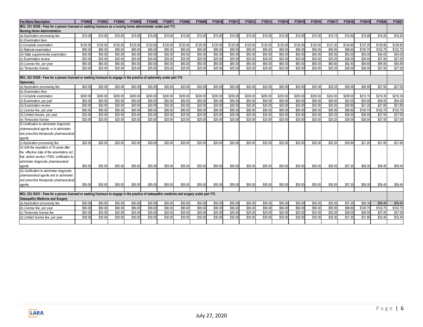| <b>Fee Name Description</b>                                                                                                                   | FY2002   | FY2003   | FY2004   | FY2005   | <b>FY2006</b> | FY2007   | FY2008   | FY2009   | FY2010   | FY2011   | FY2012   | FY2013   | FY2014   | FY2015   | FY2016   | FY2017   | FY2018   | FY2019   | FY2020   | FY2021   |
|-----------------------------------------------------------------------------------------------------------------------------------------------|----------|----------|----------|----------|---------------|----------|----------|----------|----------|----------|----------|----------|----------|----------|----------|----------|----------|----------|----------|----------|
| MCL 333.16328 - Fees for a person licensed or seeking licensure as a nursing home administrator under part 173.                               |          |          |          |          |               |          |          |          |          |          |          |          |          |          |          |          |          |          |          |          |
| <b>Nursing Home Administration</b>                                                                                                            |          |          |          |          |               |          |          |          |          |          |          |          |          |          |          |          |          |          |          |          |
| (a) Application processing fee                                                                                                                | \$15.00  | \$15.00  | \$15.00  | \$15.00  | \$15.00       | \$15.00  | \$15.00  | \$15.00  | \$15.00  | \$15.00  | \$15.00  | \$15.00  | \$15.00  | \$15.00  | \$15.00  | \$15.15  | \$15.60  | \$15.90  | \$16.20  | \$16.20  |
| (b) Examination fees                                                                                                                          |          |          |          |          |               |          |          |          |          |          |          |          |          |          |          |          |          |          |          |          |
| (i) Complete examination                                                                                                                      | \$120.00 | \$120.00 | \$120.00 | \$120.00 | \$120.00      | \$120.00 | \$120.00 | \$120.00 | \$120.00 | \$120.00 | \$120.00 | \$120.00 | \$120.00 | \$120.00 | \$120.00 | \$121.20 | \$124.80 | \$127.25 | \$129.80 | \$129.80 |
| (ii) National examination                                                                                                                     | \$95.00  | \$95.00  | \$95.00  | \$95.00  | \$95.00       | \$95.00  | \$95.00  | \$95.00  | \$95.0   | \$95.00  | \$95.00  | \$95.00  | \$95.00  | \$95.00  | \$95.00  | \$95.95  | \$98.80  | \$100.75 | \$102.7  | \$102.75 |
| (iii) State supplemental examination                                                                                                          | \$50.00  | \$50.00  | \$50.00  | \$50.00  | \$50.00       | \$50.00  | \$50.00  | \$50.00  | \$50.00  | \$50.00  | \$50.00  | \$50.00  | \$50.00  | \$50.00  | \$50.00  | \$50.50  | \$52.00  | \$53.00  | \$54.05  | \$54.05  |
| (c) Examination review                                                                                                                        | \$25.00  | \$25.00  | \$25.00  | \$25.00  | \$25.00       | \$25.00  | \$25.00  | \$25.0   | \$25.00  | \$25.00  | \$25.00  | \$25.00  | \$25.00  | \$25.00  | \$25.00  | \$25.25  | \$26.00  | \$26.50  | \$27.00  | \$27.00  |
| (d) License fee, per year                                                                                                                     | \$60.00  | \$60.00  | \$60.00  | \$60.00  | \$60.00       | \$60.00  | \$60.00  | \$60.00  | \$60.00  | \$60.00  | \$60.00  | \$60.00  | \$60.00  | \$60.00  | \$60.00  | \$60.60  | \$62.40  | \$64.60  | \$65.85  | \$65.85  |
| (e) Temporary license                                                                                                                         | \$25.00  | \$25.00  | \$25.00  | \$25.00  | \$25.00       | \$25.00  | \$25.00  | \$25.00  | \$25.00  | \$25.00  | \$25.00  | \$25.00  | \$25.00  | \$25.00  | \$25.00  | \$25.25  | \$26.00  | \$26.50  | \$27.00  | \$27.00  |
|                                                                                                                                               |          |          |          |          |               |          |          |          |          |          |          |          |          |          |          |          |          |          |          |          |
| MCL 333.16329 - Fees for a person licensed or seeking licensure to engage in the practice of optometry under part 174.                        |          |          |          |          |               |          |          |          |          |          |          |          |          |          |          |          |          |          |          |          |
| Optometry                                                                                                                                     |          |          |          |          |               |          |          |          |          |          |          |          |          |          |          |          |          |          |          |          |
| (a) Application processing fee                                                                                                                | \$20.00  | \$20.00  | \$20.00  | \$20.00  | \$20.00       | \$20.00  | \$20.00  | \$20.00  | \$20.00  | \$20.00  | \$20.00  | \$20.00  | \$20.00  | \$20.00  | \$25.00  | \$25.25  | \$26.00  | \$26.50  | \$27.00  | \$27.00  |
| (b) Examination fees                                                                                                                          |          |          |          |          |               |          |          |          |          |          |          |          |          |          |          |          |          |          |          |          |
| (i) Complete examination                                                                                                                      | \$200.0  | \$200.0  | \$200.0  | \$200.0  | \$200.00      | \$200.00 | \$200.0  | \$200.0  | \$200.0  | \$200.0  | \$200.00 | \$200.00 | \$200.0  | \$200.00 | \$200.00 | \$202.00 | \$208.00 | \$212.1  | \$216.3  | \$216.35 |
| (ii) Examination, per part                                                                                                                    | \$50.00  | \$50.00  | \$50.00  | \$50.00  | \$50.00       | \$50.00  | \$50.00  | \$50.00  | \$50.0   | \$50.00  | \$50.00  | \$50.00  | \$50.00  | \$50.00  | \$50.00  | \$50.50  | \$52.00  | \$53.00  | \$54.05  | \$54.05  |
| (iii) Examination review                                                                                                                      | \$20.00  | \$20.00  | \$20.00  | \$20.00  | \$20.00       | \$20.00  | \$20.00  | \$20.0   | \$20.00  | \$20.00  | \$20.00  | \$20.00  | \$20.00  | \$20.00  | \$20.00  | \$20.20  | \$20.80  | \$21.20  | \$21.60  | \$21.60  |
| (c) License fee, per year                                                                                                                     | \$90.00  | \$90.00  | \$90.00  | \$90.00  | \$90.00       | \$90.00  | \$90.00  | \$90.00  | \$90.00  | \$90.00  | \$90.00  | \$90.00  | \$90.00  | \$90.00  | \$90.00  | \$95.95  | \$98.80  | \$100.75 | \$102.75 | \$102.75 |
| (d) Limited license, per year                                                                                                                 | \$25.00  | \$25.00  | \$25.00  | \$25.00  | \$25.00       | \$25.00  | \$25.00  | \$25.00  | \$25.00  | \$25.00  | \$25.00  | \$25.00  | \$25.00  | \$25.00  | \$25.00  | \$25.25  | \$26.00  | \$26.50  | \$27.00  | \$27.00  |
| (e) Temporary license                                                                                                                         | \$25.00  | \$25.00  | \$25.00  | \$25.00  | \$25.00       | \$25.00  | \$25.00  | \$25.00  | \$25.00  | \$25.00  | \$25.00  | \$25.00  | \$25.00  | \$25.00  | \$25.00  | \$25.25  | \$26.00  | \$26.50  | \$27.00  | \$27.00  |
| (f) Certification to administer diagnostic                                                                                                    |          |          |          |          |               |          |          |          |          |          |          |          |          |          |          |          |          |          |          |          |
| pharmaceutical agents or to administer                                                                                                        |          |          |          |          |               |          |          |          |          |          |          |          |          |          |          |          |          |          |          |          |
| and prescribe therapeutic pharmaceutical                                                                                                      |          |          |          |          |               |          |          |          |          |          |          |          |          |          |          |          |          |          |          |          |
| agents                                                                                                                                        |          |          |          |          |               |          |          |          |          |          |          |          |          |          |          |          |          |          |          |          |
| (i) Application processing fee                                                                                                                | \$20.00  | \$20.00  | \$20.00  | \$20.00  | \$20.00       | \$20.00  | \$20.00  | \$20.00  | \$20.00  | \$20.00  | \$20.00  | \$20.00  | \$20.00  | \$20.00  | \$20.00  | \$20.20  | \$20.80  | \$21.20  | \$21.60  | \$21.60  |
| (ii) Until the expiration of 10 years after                                                                                                   |          |          |          |          |               |          |          |          |          |          |          |          |          |          |          |          |          |          |          |          |
| the effective date of the amendatory act                                                                                                      |          |          |          |          |               |          |          |          |          |          |          |          |          |          |          |          |          |          |          |          |
| that added section 17435, certification to                                                                                                    |          |          |          |          |               |          |          |          |          |          |          |          |          |          |          |          |          |          |          |          |
| administer diagnostic pharmaceutical                                                                                                          |          |          |          |          |               |          |          |          |          |          |          |          |          |          |          |          |          |          |          |          |
| agents                                                                                                                                        | \$55.00  | \$55.00  | \$55.00  | \$55.00  | \$55.00       | \$55.00  | \$55.00  | \$55.00  | \$55.00  | \$55.00  | \$55.00  | \$55.00  | \$55.00  | \$55.00  | \$55.00  | \$55.55  | \$57.20  | \$58.30  | \$59.45  | \$59.45  |
| (iii) Certification to administer diagnostic                                                                                                  |          |          |          |          |               |          |          |          |          |          |          |          |          |          |          |          |          |          |          |          |
| pharmaceutical agents and to administer                                                                                                       |          |          |          |          |               |          |          |          |          |          |          |          |          |          |          |          |          |          |          |          |
| and prescribe therapeutic pharmaceutical                                                                                                      |          |          |          |          |               |          |          |          |          |          |          |          |          |          |          |          |          |          |          |          |
| agents                                                                                                                                        | \$55.00  | \$55.00  | \$55.00  | \$55.00  | \$55.00       | \$55.00  | \$55.00  | \$55.00  | \$55.00  | \$55.00  | \$55.00  | \$55.00  | \$55.00  | \$55.00  | \$55.00  | \$55.55  | \$57.20  | \$58.30  | \$59.45  | \$59.45  |
|                                                                                                                                               |          |          |          |          |               |          |          |          |          |          |          |          |          |          |          |          |          |          |          |          |
| MCL 333.16331 - Fees for a person licensed or seeking licensure to engage in the practice of osteopathic medicine and surgery under part 175. |          |          |          |          |               |          |          |          |          |          |          |          |          |          |          |          |          |          |          |          |
| <b>Osteopathic Medicine and Surgery</b><br>(a) Application processing fee                                                                     | \$50.00  | \$50.00  | \$50.00  | \$50.00  | \$50.00       | \$50.00  | \$50.00  | \$50.00  | \$50.00  | \$50.00  | \$50.00  | \$50.00  | \$50.00  | \$50.00  | \$55.00  | \$55.55  | \$57.20  | \$58.30  | \$59.45  | \$59.45  |
| (b) License fee, per year                                                                                                                     | \$90.00  | \$90.00  | \$90.00  | \$90.00  | \$90.00       | \$90.00  | \$90.00  | \$90.00  | \$90.00  | \$90.00  | \$90.00  | \$90.00  | \$90.00  | \$90.00  | \$95.00  | \$95.95  | \$98.80  | \$100.75 | \$102.75 | \$102.75 |
| (c) Temporary license fee                                                                                                                     | \$25.00  | \$25.00  | \$25.00  | \$25.00  | \$25.00       | \$25.00  | \$25.00  | \$25.00  | \$25.00  | \$25.00  | \$25.00  | \$25.00  | \$25.00  | \$25.00  | \$25.00  | \$25.25  | \$26.00  | \$26.50  | \$27.00  | \$27.00  |
| (d) Limited license fee, per year                                                                                                             | \$30.00  | \$30.00  | \$30.00  | \$30.00  | \$30.00       | \$30.00  | \$30.00  | \$30.00  | \$30.00  | \$30.00  | \$30.00  | \$30.00  | \$30.00  | \$30.00  | \$30.00  | \$30.30  | \$31.20  | \$31.80  | \$32.40  | \$32.40  |
|                                                                                                                                               |          |          |          |          |               |          |          |          |          |          |          |          |          |          |          |          |          |          |          |          |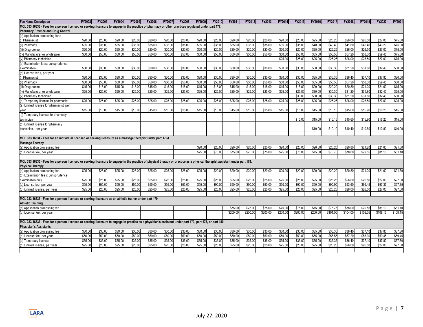| <b>Fee Name Description</b>                                                                                                                                                 | FY2002  | FY2003  | FY2004  | FY2005  | <b>FY2006</b> | FY2007  | <b>FY2008</b> | FY2009             | FY2010  | FY2011   | FY2012   | FY2013   | FY2014   | FY2015   | FY2016             | FY2017   | FY2018   | FY2019             | FY2020   | FY2021             |
|-----------------------------------------------------------------------------------------------------------------------------------------------------------------------------|---------|---------|---------|---------|---------------|---------|---------------|--------------------|---------|----------|----------|----------|----------|----------|--------------------|----------|----------|--------------------|----------|--------------------|
| MCL 333.16333 - Fees for a person licensed or seeking licensure to engage in the practice of pharmacy or other practices regulated under part 177.                          |         |         |         |         |               |         |               |                    |         |          |          |          |          |          |                    |          |          |                    |          |                    |
| <b>Pharmacy Practice and Drug Control</b>                                                                                                                                   |         |         |         |         |               |         |               |                    |         |          |          |          |          |          |                    |          |          |                    |          |                    |
| (a) Application processing fees                                                                                                                                             |         |         |         |         |               |         |               |                    |         |          |          |          |          |          |                    |          |          |                    |          |                    |
| (i) Pharmacist                                                                                                                                                              | \$20.00 | \$20.0  | \$20.0  | \$20.00 | \$20.00       | \$20.00 | \$20.0        | \$20.00            | \$20.00 | \$20.00  | \$20.00  | \$20.00  | \$20.00  | \$20.00  | \$25.00            | \$25.25  | \$26.0   | \$26.5             | \$27.0   | \$75.00            |
| (ii) Pharmacy                                                                                                                                                               | \$35.00 | \$35.00 | \$35.00 | \$35.00 | \$35.00       | \$35.00 | \$35.00       | \$35.00            | \$35.00 | \$35.00  | \$35.00  | \$35.00  | \$35.00  | \$35.00  | \$40.00            | \$40.40  | \$41.60  | \$42.4             | \$43.2   | \$75.00            |
| iii) Drug control                                                                                                                                                           | \$20.00 | \$20.00 | \$20.00 | \$20.00 | \$20.00       | \$20.00 | \$20.00       | \$20.00            | \$20.00 | \$20.00  | \$20.00  | \$20.00  | \$20.00  | \$20.00  | \$25.00            | \$25.25  | \$26.00  | \$26.50            | \$27.0   | \$75.00            |
| (iv) Manufacturer or wholesaler                                                                                                                                             | \$50.00 | \$50.00 | \$50.00 | \$50.00 | \$50.00       | \$50.00 | \$50.00       | \$50.00            | \$50.00 | \$50.00  | \$50.00  | \$50.00  | \$50.00  | \$50.00  | \$55.00            | \$55.55  | \$57.2   | \$58.3             | \$59.45  | \$75.00            |
| v) Pharmacy technician                                                                                                                                                      |         |         |         |         |               |         |               |                    |         |          |          |          | \$25.00  | \$25.00  | \$25.00            | \$25.25  | \$26.00  | \$26.50            | \$27.00  | \$75.00            |
| (b) Examination fees: Jurisprudence                                                                                                                                         |         |         |         |         |               |         |               |                    |         |          |          |          |          |          |                    |          |          |                    |          |                    |
| examination                                                                                                                                                                 | \$30.00 | \$30.00 | \$30.00 | \$30.00 | \$30.00       | \$30.00 | \$30.00       | \$30.00            | \$30.00 | \$30.00  | \$30.00  | \$30.00  | \$30.00  | \$30.00  | \$30.00            | \$30.30  | \$31.20  | \$31.80            | \$32.40  | \$30.00            |
| (c) License fees, per year                                                                                                                                                  |         |         |         |         |               |         |               |                    |         |          |          |          |          |          |                    |          |          |                    |          |                    |
| (i) Pharmacist                                                                                                                                                              | \$30.00 | \$30.0  | \$30.0  | \$30.00 | \$30.00       | \$30.00 | \$30.0        | \$30.00            | \$30.00 | \$30.00  | \$30.00  | \$30.00  | \$30.00  | \$30.00  | \$35.00            | \$35.35  | \$36.40  | \$37.1             | \$37.8   | \$30.00            |
| (ii) Pharmacv                                                                                                                                                               | \$50.00 | \$50.00 | \$50.00 | \$50.00 | \$50.00       | \$50.00 | \$50.00       | \$50.00            | \$50.00 | \$50.00  | \$50.00  | \$50.00  | \$50.00  | \$50.00  | \$55.00            | \$55.55  | \$57.20  | \$58.3             | \$59.45  | \$50.00            |
| (iii) Drug control                                                                                                                                                          | \$15.00 | \$15.00 | \$15.00 | \$15.00 | \$15.00       | \$15.00 | \$15.00       | \$15.00            | \$15.00 | \$15.00  | \$15.00  | \$15.00  | \$15.00  | \$15.00  | \$20.00            | \$20.20  | \$20.80  | \$21.20            | \$21.60  | \$15.00            |
| (iv) Manufacturer or wholesaler                                                                                                                                             | \$25.00 | \$25.00 | \$25.00 | \$25.00 | \$25.00       | \$25.00 | \$25.00       | \$25.00            | \$25.00 | \$25.00  | \$25.00  | \$25.00  | \$25.00  | \$25.00  | \$30.00            | \$30.30  | \$31.20  | \$31.80            | \$32.40  | \$25.00            |
| (v) Pharmacy technician                                                                                                                                                     |         |         |         |         |               |         |               |                    |         |          |          |          |          | \$30.00  | \$30.00            | \$30.30  | \$31.20  | \$31.80            | \$32.4   | \$30.00            |
| (d) Temporary license for pharmacist                                                                                                                                        | \$25.00 | \$25.00 | \$25.00 | \$25.00 | \$25.00       | \$25.00 | \$25.0        | \$25.00            | \$25.00 | \$25.00  | \$25.00  | \$25.00  | \$25.00  | \$25.00  | \$25.00            | \$25.25  | \$26.00  | \$26.50            | \$27.00  | \$25.00            |
| (e) Limited license for pharmacist, per                                                                                                                                     |         |         |         |         |               |         |               |                    |         |          |          |          |          |          |                    |          |          |                    |          |                    |
| year                                                                                                                                                                        | \$15.00 | \$15.00 | \$15.00 | \$15.00 | \$15.00       | \$15.00 | \$15.00       | \$15.00            | \$15.00 | \$15.00  | \$15.00  | \$15.00  | \$15.00  | \$15.00  | \$15.00            | \$15.15  | \$15.60  | \$15.90            | \$16.20  | \$15.00            |
| (f) Temporary license for pharmacy                                                                                                                                          |         |         |         |         |               |         |               |                    |         |          |          |          |          |          |                    |          |          |                    |          |                    |
| technician                                                                                                                                                                  |         |         |         |         |               |         |               |                    |         |          |          |          |          | \$15.00  | \$15.00            | \$15.15  | \$15.60  | \$15.90            | \$16.20  | \$15.00            |
| (g) Limited license for pharmacy                                                                                                                                            |         |         |         |         |               |         |               |                    |         |          |          |          |          |          |                    |          |          |                    |          |                    |
| technician, per year                                                                                                                                                        |         |         |         |         |               |         |               |                    |         |          |          |          |          |          | \$10.00            | \$10.10  | \$10.40  | \$10.60            | \$10.80  | \$10.00            |
|                                                                                                                                                                             |         |         |         |         |               |         |               |                    |         |          |          |          |          |          |                    |          |          |                    |          |                    |
| MCL 333.16334 - Fees for an individual licensed or seeking licensure as a massage therapist under part 179A.                                                                |         |         |         |         |               |         |               |                    |         |          |          |          |          |          |                    |          |          |                    |          |                    |
| <b>Massage Therapy</b>                                                                                                                                                      |         |         |         |         |               |         |               |                    |         |          |          |          |          |          |                    |          |          |                    |          |                    |
| (a) Application processing fee                                                                                                                                              |         |         |         |         |               |         |               | \$20.00            | \$20.00 | \$20.00  | \$20.00  | \$20.00  | \$20.00  | \$20.00  | \$20.00            | \$20.20  | \$20.80  | \$21.20            | \$21.60  | \$21.60            |
| (b) License fee, per year                                                                                                                                                   |         |         |         |         |               |         |               | \$75.00            | \$75.00 | \$75.00  | \$75.00  | \$75.00  | \$75.00  | \$75.00  | \$75.00            | \$75.75  | \$78.00  | \$79.55            | \$81.10  | \$81.10            |
|                                                                                                                                                                             |         |         |         |         |               |         |               |                    |         |          |          |          |          |          |                    |          |          |                    |          |                    |
| MCL 333.16335 - Fees for a person licensed or seeking licensure to engage in the practice of physical therapy or practice as a physical therapist assistant under part 178. |         |         |         |         |               |         |               |                    |         |          |          |          |          |          |                    |          |          |                    |          |                    |
| <b>Physical Therapy</b>                                                                                                                                                     | \$25.00 | \$25.00 | \$25.00 | \$25.00 | \$25.00       | \$25.00 | \$25.00       | \$25.00            | \$20.00 | \$20.00  | \$20.00  | \$20.00  | \$20.00  | \$20.00  | \$20.00            | \$20.20  | \$20.80  | \$21.20            | \$21.60  | \$21.60            |
| (a) Application processing fee<br>(b) Examination fees: Jurisprudence                                                                                                       |         |         |         |         |               |         |               |                    |         |          |          |          |          |          |                    |          |          |                    |          |                    |
|                                                                                                                                                                             | \$25.00 | \$25.00 | \$25.00 | \$25.00 | \$25.00       | \$25.00 | \$25.00       |                    | \$25.00 | \$25.00  | \$25.00  | \$25.00  | \$25.00  | \$25.00  |                    | \$25.25  | \$26.00  |                    | \$27.00  | \$27.00            |
| examination only                                                                                                                                                            | \$55.00 | \$55.00 | \$55.00 | \$55.00 | \$55.00       | \$55.00 | \$55.00       | \$25.00<br>\$55.00 | \$90.00 | \$90.00  | \$90.00  | \$90.00  | \$90.00  | \$90.00  | \$25.00<br>\$90.00 | \$90.90  | \$93.60  | \$26.50<br>\$95.45 | \$97.35  | \$97.35            |
| (c) License fee, per year<br>(d) Limited license, per year                                                                                                                  | \$25.00 | \$25.00 | \$25.00 | \$25.00 | \$25.00       | \$25.00 | \$25.00       | \$25.00            | \$25.00 | \$25.00  | \$25.00  | \$25.00  | \$25.00  | \$25.00  | \$25.00            | \$25.25  | \$26.00  | \$26.50            | \$27.00  | \$27.00            |
|                                                                                                                                                                             |         |         |         |         |               |         |               |                    |         |          |          |          |          |          |                    |          |          |                    |          |                    |
| MCL 333.16336 - Fees for a person licensed or seeking licensure as an athletic trainer under part 179.                                                                      |         |         |         |         |               |         |               |                    |         |          |          |          |          |          |                    |          |          |                    |          |                    |
| <b>Athletic Training</b>                                                                                                                                                    |         |         |         |         |               |         |               |                    |         |          |          |          |          |          |                    |          |          |                    |          |                    |
| (a) Application processing fee                                                                                                                                              |         |         |         |         |               |         |               |                    |         | \$75.00  | \$75.00  | \$75.00  | \$75.00  | \$75.00  | \$75.00            | \$75.75  | \$78.0   | \$79.5             | \$81.1   | \$81.10            |
| (b) License fee, per year                                                                                                                                                   |         |         |         |         |               |         |               |                    |         | \$200.00 | \$200.00 | \$200.00 | \$200.00 | \$200.00 | \$200.00           | \$101.00 | \$104.00 | \$106.05           | \$108.15 | \$108.15           |
|                                                                                                                                                                             |         |         |         |         |               |         |               |                    |         |          |          |          |          |          |                    |          |          |                    |          |                    |
| MCL 333.16337 - Fees for a person licensed or seeking licensure to engage in practice as a physician's assistant under part 170, part 175, or part 180.                     |         |         |         |         |               |         |               |                    |         |          |          |          |          |          |                    |          |          |                    |          |                    |
|                                                                                                                                                                             |         |         |         |         |               |         |               |                    |         |          |          |          |          |          |                    |          |          |                    |          |                    |
|                                                                                                                                                                             |         |         |         |         |               |         |               |                    |         |          |          |          |          |          |                    |          |          |                    |          |                    |
| <b>Physician's Assistants</b>                                                                                                                                               | \$30.00 | \$30.00 | \$30.00 | \$30.00 | \$30.00       | \$30.00 | \$30.00       | \$30.00            | \$30.00 | \$30.00  | \$30.00  | \$30.00  | \$30.00  | \$30.00  | \$35.00            | \$35.35  | \$36.40  | \$37.10            | \$37.80  |                    |
| (a) Application processing fee                                                                                                                                              | \$50.00 | \$50.00 | \$50.00 | \$50.00 | \$50.00       | \$50.00 | \$50.00       | \$50.00            | \$50.00 | \$50.00  | \$50.00  | \$50.00  | \$50.00  | \$50.00  | \$55.00            | \$55.55  | \$57.20  | \$58.3             | \$59.45  | \$37.80            |
| (b) License fee, per year                                                                                                                                                   | \$35.00 | \$35.00 | \$35.00 | \$35.00 | \$35.00       | \$35.00 | \$35.00       | \$35.00            | \$35.00 | \$35.00  | \$35.00  | \$35.00  | \$35.00  | \$35.00  | \$35.00            | \$35.35  | \$36.40  | \$37.10            | \$37.80  | \$59.45            |
| (c) Temporary license<br>(d) Limited license, per year                                                                                                                      | \$25.00 | \$25.00 | \$25.00 | \$25.00 | \$25.00       | \$25.00 | \$25.0        | \$25.00            | \$25.00 | \$25.00  | \$25.00  | \$25.00  | \$25.00  | \$25.00  | \$25.00            | \$25.25  | \$26.00  | \$26.50            | \$27.00  | \$37.80<br>\$27.00 |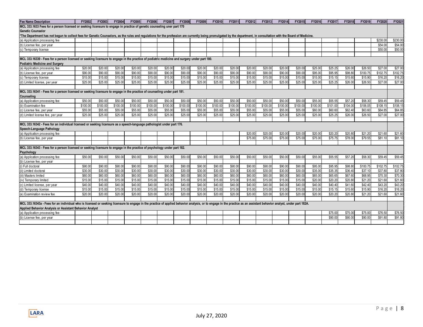| <b>Fee Name Description</b>                                                                                                                                                                                          | FY2002   | FY2003   | FY2004   | FY2005   | <b>FY2006</b> | FY2007   | FY2008   | FY2009   | FY2010   | FY2011   | FY2012   | FY2013   | FY2014   | FY2015   | FY2016   | FY2017   | FY2018   | FY2019   | FY2020   | FY2021   |
|----------------------------------------------------------------------------------------------------------------------------------------------------------------------------------------------------------------------|----------|----------|----------|----------|---------------|----------|----------|----------|----------|----------|----------|----------|----------|----------|----------|----------|----------|----------|----------|----------|
| MCL 333.1633 Fees for a person licensed or seeking licensure to engage in practice of genetic counseling uner part 170                                                                                               |          |          |          |          |               |          |          |          |          |          |          |          |          |          |          |          |          |          |          |          |
| <b>Genetic Counselor</b>                                                                                                                                                                                             |          |          |          |          |               |          |          |          |          |          |          |          |          |          |          |          |          |          |          |          |
| *The Department has not begun to collect fees for Genetic Counselors, as the rules and regulations for the profession are currently being promulgated by the department, in consultation with the Board of Medicine. |          |          |          |          |               |          |          |          |          |          |          |          |          |          |          |          |          |          |          |          |
| (a) Application processing fee                                                                                                                                                                                       |          |          |          |          |               |          |          |          |          |          |          |          |          |          |          |          |          |          | \$230.0  | \$230.00 |
| (b) License fee, per year                                                                                                                                                                                            |          |          |          |          |               |          |          |          |          |          |          |          |          |          |          |          |          |          | \$54.00  | \$54.00  |
| (c) Temporary license                                                                                                                                                                                                |          |          |          |          |               |          |          |          |          |          |          |          |          |          |          |          |          |          | \$50.00  | \$50.00  |
|                                                                                                                                                                                                                      |          |          |          |          |               |          |          |          |          |          |          |          |          |          |          |          |          |          |          |          |
| MCL 333.16339 - Fees for a person licensed or seeking licensure to engage in the practice of podiatric medicine and surgery under part 180.                                                                          |          |          |          |          |               |          |          |          |          |          |          |          |          |          |          |          |          |          |          |          |
| <b>Podiatric Medicine and Surgery</b>                                                                                                                                                                                |          |          |          |          |               |          |          |          |          |          |          |          |          |          |          |          |          |          |          |          |
| (a) Application processing fee                                                                                                                                                                                       | \$20.00  | \$20.00  | \$20.00  | \$20.00  | \$20.00       | \$20.00  | \$20.00  | \$20.00  | \$20.00  | \$20.00  | \$20.00  | \$20.00  | \$20.00  | \$20.00  | \$25.00  | \$25.25  | \$26.00  | \$26.50  | \$27.00  | \$27.00  |
| (b) License fee, per year                                                                                                                                                                                            | \$90.00  | \$90.00  | \$90.00  | \$90.00  | \$90.00       | \$90.00  | \$90.00  | \$90.00  | \$90.00  | \$90.00  | \$90.00  | \$90.00  | \$90.00  | \$90.00  | \$95.00  | \$95.95  | \$98.80  | \$100.75 | \$102.75 | \$102.75 |
| (c) Temporary license                                                                                                                                                                                                | \$15.00  | \$15.00  | \$15.00  | \$15.00  | \$15.00       | \$15.00  | \$15.00  | \$15.00  | \$15.00  | \$15.00  | \$15.00  | \$15.00  | \$15.00  | \$15.00  | \$15.00  | \$15.15  | \$15.60  | \$15.90  | \$16.20  | \$16.20  |
| (d) Limited license, per year                                                                                                                                                                                        | \$25.00  | \$25.00  | \$25.00  | \$25.00  | \$25.00       | \$25.00  | \$25.00  | \$25.00  | \$25.00  | \$25.00  | \$25.00  | \$25.00  | \$25.00  | \$25.00  | \$25.00  | \$25.25  | \$26.00  | \$26.50  | \$27.00  | \$27.00  |
|                                                                                                                                                                                                                      |          |          |          |          |               |          |          |          |          |          |          |          |          |          |          |          |          |          |          |          |
| MCL 333.16341 - Fees for a person licensed or seeking licensure to engage in the practice of counseling under part 181.                                                                                              |          |          |          |          |               |          |          |          |          |          |          |          |          |          |          |          |          |          |          |          |
| Counseling                                                                                                                                                                                                           |          |          |          |          |               |          |          |          |          |          |          |          |          |          |          |          |          |          |          |          |
| (a) Application processing fee                                                                                                                                                                                       | \$50.00  | \$50.00  | \$50.00  | \$50.00  | \$50.00       | \$50.00  | \$50.00  | \$50.00  | \$50.00  | \$50.00  | \$50.00  | \$50.00  | \$50.00  | \$50.00  | \$55.00  | \$55.55  | \$57.20  | \$58.30  | \$59.45  | \$59.45  |
| (b) Examination fee                                                                                                                                                                                                  | \$100.00 | \$100.00 | \$100.00 | \$100.00 | \$100.00      | \$100.00 | \$100.00 | \$100.00 | \$100.00 | \$100.00 | \$100.00 | \$100.00 | \$100.00 | \$100.00 | \$100.00 | \$101.00 | \$104.00 | \$106.05 | \$108.15 | \$108.15 |
| (c) License fee, per year                                                                                                                                                                                            | \$55.00  | \$55.00  | \$55.00  | \$55.00  | \$55.00       | \$55.00  | \$55.00  | \$55.00  | \$55.00  | \$55.00  | \$55.00  | \$55.00  | \$55.00  | \$55.00  | \$60.00  | \$60.60  | \$62.40  | \$63.60  | \$64.85  | \$64.85  |
| (d) Limited license fee, per year                                                                                                                                                                                    | \$25.00  | \$25.00  | \$25.00  | \$25.00  | \$25.00       | \$25.00  | \$25.00  | \$25.00  | \$25.00  | \$25.00  | \$25.00  | \$25.00  | \$25.00  | \$25.00  | \$25.00  | \$25.25  | \$26.00  | \$26.50  | \$27.00  | \$27.00  |
|                                                                                                                                                                                                                      |          |          |          |          |               |          |          |          |          |          |          |          |          |          |          |          |          |          |          |          |
| MCL 333.16342 - Fees for an individual licensed or seeking licensure as a speech-language pathologist under part 176.                                                                                                |          |          |          |          |               |          |          |          |          |          |          |          |          |          |          |          |          |          |          |          |
| Speech-Language Pathology                                                                                                                                                                                            |          |          |          |          |               |          |          |          |          |          |          |          |          |          |          |          |          |          |          |          |
| (a) Application processing fee                                                                                                                                                                                       |          |          |          |          |               |          |          |          |          |          | \$20.00  | \$20.00  | \$20.00  | \$20.00  | \$20.00  | \$20.20  | \$20.80  | \$21.20  | \$21.60  | \$21.60  |
| (b) License fee, per year                                                                                                                                                                                            |          |          |          |          |               |          |          |          |          |          | \$75.00  | \$75.00  | \$75.00  | \$75.00  | \$75.00  | \$75.75  | \$78.00  | \$79.55  | \$81.10  | \$81.10  |
|                                                                                                                                                                                                                      |          |          |          |          |               |          |          |          |          |          |          |          |          |          |          |          |          |          |          |          |
| MCL 333.16343 - Fees for a person licensed or seeking licensure to engage in the practice of psychology under part 182.                                                                                              |          |          |          |          |               |          |          |          |          |          |          |          |          |          |          |          |          |          |          |          |
| Psychology                                                                                                                                                                                                           |          |          |          |          |               |          |          |          |          |          |          |          |          |          |          |          |          |          |          |          |
| (a) Application processing fee                                                                                                                                                                                       | \$50.00  | \$50.00  | \$50.00  | \$50.00  | \$50.00       | \$50.00  | \$50.00  | \$50.00  | \$50.00  | \$50.00  | \$50.00  | \$50.00  | \$50.00  | \$50.00  | \$55.00  | \$55.55  | \$57.20  | \$58.30  | \$59.45  | \$59.45  |
| (b) License fee, per year                                                                                                                                                                                            |          |          |          |          |               |          |          |          |          |          |          |          |          |          |          |          |          |          |          |          |
| (i) Full doctoral                                                                                                                                                                                                    | \$90.00  | \$90.00  | \$90.00  | \$90.00  | \$90.00       | \$90.00  | \$90.0   | \$90.00  | \$90.00  | \$90.00  | \$90.00  | \$90.00  | \$90.00  | \$90.00  | \$95.00  | \$95.95  | \$98.80  | \$100.75 | \$102.75 | \$102.75 |
| (ii) Limited doctoral                                                                                                                                                                                                | \$30.00  | \$30.00  | \$30.00  | \$30.00  | \$30.00       | \$30.00  | \$30.00  | \$30.00  | \$30.00  | \$30.00  | \$30.00  | \$30.00  | \$30.00  | \$30.00  | \$35.00  | \$35.35  | \$36.40  | \$37.10  | \$37.80  | \$37.80  |
| (iii) Masters limited                                                                                                                                                                                                | \$60.00  | \$60.00  | \$60.00  | \$60.00  | \$60.00       | \$60.00  | \$60.00  | \$60.00  | \$60.00  | \$60.00  | \$60.00  | \$60.00  | \$60.00  | \$60.00  | \$65.00  | \$65.65  | \$67.60  | \$68.95  | \$70.30  | \$70.30  |
| (iv) Temporary limited                                                                                                                                                                                               | \$15.00  | \$15.00  | \$15.00  | \$15.00  | \$15.00       | \$15.00  | \$15.00  | \$15.00  | \$15.00  | \$15.00  | \$15.00  | \$15.00  | \$15.00  | \$15.00  | \$20.00  | \$20.20  | \$20.80  | \$21.20  | \$21.60  | \$21.60  |
| (c) Limited license, per year                                                                                                                                                                                        | \$40.00  | \$40.00  | \$40.00  | \$40.00  | \$40.00       | \$40.00  | \$40.00  | \$40.00  | \$40.00  | \$40.00  | \$40.00  | \$40.00  | \$40.00  | \$40.00  | \$40.00  | \$40.40  | \$41.60  | \$42.40  | \$43.20  | \$43.20  |
| (d) Temporary license                                                                                                                                                                                                | \$15.00  | \$15.00  | \$15.00  | \$15.00  | \$15.00       | \$15.00  | \$15.00  | \$15.00  | \$15.00  | \$15.00  | \$15.00  | \$15.00  | \$15.00  | \$15.00  | \$15.00  | \$15.15  | \$15.60  | \$15.90  | \$16.20  | \$16.20  |
| (e) Examination review fee                                                                                                                                                                                           | \$20.00  | \$20.00  | \$20.00  | \$20.00  | \$20.00       | \$20.00  | \$20.00  | \$20.00  | \$20.00  | \$20.00  | \$20.00  | \$20.00  | \$20.00  | \$20.00  | \$20.00  | \$20.20  | \$20.80  | \$21.20  | \$21.60  | \$21.60  |
|                                                                                                                                                                                                                      |          |          |          |          |               |          |          |          |          |          |          |          |          |          |          |          |          |          |          |          |
| MCL 333.16343a - Fees for an individual who is licensed or seeking licensure to engage in the practice of applied behavior analysis, or to engage in the practice as an assistant behavior analyst, under part 182A. |          |          |          |          |               |          |          |          |          |          |          |          |          |          |          |          |          |          |          |          |
| Applied Behavior Analysis or Assistant Behavior Analyst                                                                                                                                                              |          |          |          |          |               |          |          |          |          |          |          |          |          |          |          |          |          |          |          |          |
| (a) Application processing fee                                                                                                                                                                                       |          |          |          |          |               |          |          |          |          |          |          |          |          |          |          | \$75.00  | \$75.00  | \$75.00  | \$76.50  | \$76.50  |
| (b) License fee, per year                                                                                                                                                                                            |          |          |          |          |               |          |          |          |          |          |          |          |          |          |          | \$90.00  | \$90.00  | \$90.00  | \$91.80  | \$91.80  |
|                                                                                                                                                                                                                      |          |          |          |          |               |          |          |          |          |          |          |          |          |          |          |          |          |          |          |          |